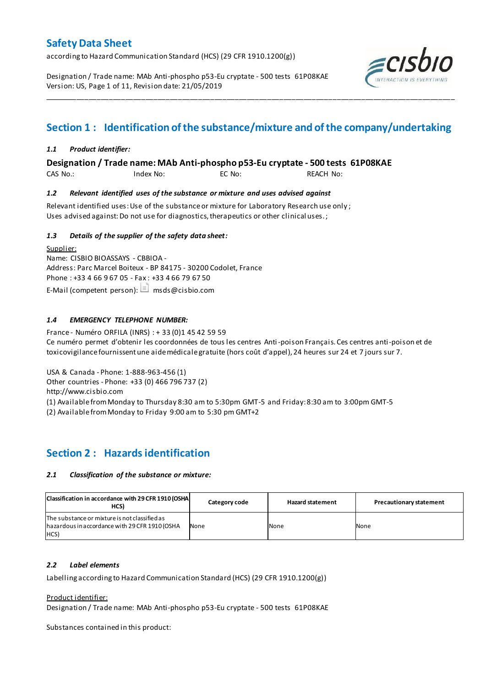according to Hazard Communication Standard (HCS) (29 CFR 1910.1200(g))

Designation / Trade name: MAb Anti-phospho p53-Eu cryptate - 500 tests 61P08KAE Version: US, Page 1 of 11, Revision date: 21/05/2019



# **Section 1 : Identification of the substance/mixture and of the company/undertaking**

\_\_\_\_\_\_\_\_\_\_\_\_\_\_\_\_\_\_\_\_\_\_\_\_\_\_\_\_\_\_\_\_\_\_\_\_\_\_\_\_\_\_\_\_\_\_\_\_\_\_\_\_\_\_\_\_\_\_\_\_\_\_\_\_\_\_\_\_\_\_\_\_\_\_\_\_\_\_\_\_\_\_\_\_\_\_\_\_\_\_\_\_\_\_\_\_\_\_\_\_\_

## *1.1 Product identifier:*

**Designation / Trade name: MAb Anti-phospho p53-Eu cryptate - 500 tests 61P08KAE** 

CAS No.: Index No: EC No: REACH No:

## *1.2 Relevant identified uses of the substance or mixture and uses advised against*

Relevant identified uses: Use of the substance or mixture for Laboratory Research use only ; Uses advised against: Do not use for diagnostics, therapeutics or other clinical uses.;

## *1.3 Details of the supplier of the safety data sheet:*

Supplier: Name: CISBIO BIOASSAYS - CBBIOA - Address: Parc Marcel Boiteux - BP 84175 - 30200 Codolet, France Phone : +33 4 66 9 67 05 - Fax : +33 4 66 79 67 50 E-Mail (competent person):  $\Box$  msds@cisbio.com

## *1.4 EMERGENCY TELEPHONE NUMBER:*

France - Numéro ORFILA (INRS) : + 33 (0)1 45 42 59 59 Ce numéro permet d'obtenir les coordonnées de tous les centres Anti-poison Français. Ces centres anti-poison et de toxicovigilance fournissent une aide médicale gratuite (hors coût d'appel), 24 heures sur 24 et 7 jours sur 7.

USA & Canada - Phone: 1-888-963-456 (1)

Other countries - Phone: +33 (0) 466 796 737 (2)

http://www.cisbio.com

(1) Available from Monday to Thursday 8:30 am to 5:30pm GMT-5 and Friday: 8:30 am to 3:00pm GMT-5

(2) Available from Monday to Friday 9:00 am to 5:30 pm GMT+2

## **Section 2 : Hazards identification**

### *2.1 Classification of the substance or mixture:*

| Classification in accordance with 29 CFR 1910 (OSHA)<br>HCS)                                            | Category code | <b>Hazard statement</b> | <b>Precautionary statement</b> |
|---------------------------------------------------------------------------------------------------------|---------------|-------------------------|--------------------------------|
| The substance or mixture is not classified as<br>hazardous in accordance with 29 CFR 1910 (OSHA<br>HCS) | None          | None                    | None                           |

### *2.2 Label elements*

Labelling according to Hazard Communication Standard (HCS) (29 CFR 1910.1200(g))

Product identifier:

Designation / Trade name: MAb Anti-phospho p53-Eu cryptate - 500 tests 61P08KAE

Substances contained in this product: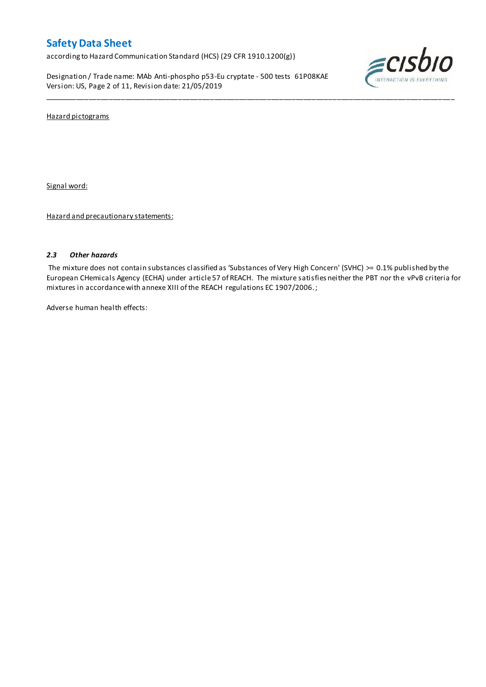according to Hazard Communication Standard (HCS) (29 CFR 1910.1200(g))

Designation / Trade name: MAb Anti-phospho p53-Eu cryptate - 500 tests 61P08KAE Version: US, Page 2 of 11, Revision date: 21/05/2019



Hazard pictograms

Signal word:

Hazard and precautionary statements:

## *2.3 Other hazards*

The mixture does not contain substances classified as 'Substances of Very High Concern' (SVHC) >= 0.1% published by the European CHemicals Agency (ECHA) under article 57 of REACH. The mixture satisfies neither the PBT nor the vPvB criteria for mixtures in accordance with annexe XIII of the REACH regulations EC 1907/2006. ;

\_\_\_\_\_\_\_\_\_\_\_\_\_\_\_\_\_\_\_\_\_\_\_\_\_\_\_\_\_\_\_\_\_\_\_\_\_\_\_\_\_\_\_\_\_\_\_\_\_\_\_\_\_\_\_\_\_\_\_\_\_\_\_\_\_\_\_\_\_\_\_\_\_\_\_\_\_\_\_\_\_\_\_\_\_\_\_\_\_\_\_\_\_\_\_\_\_\_\_\_\_

Adverse human health effects: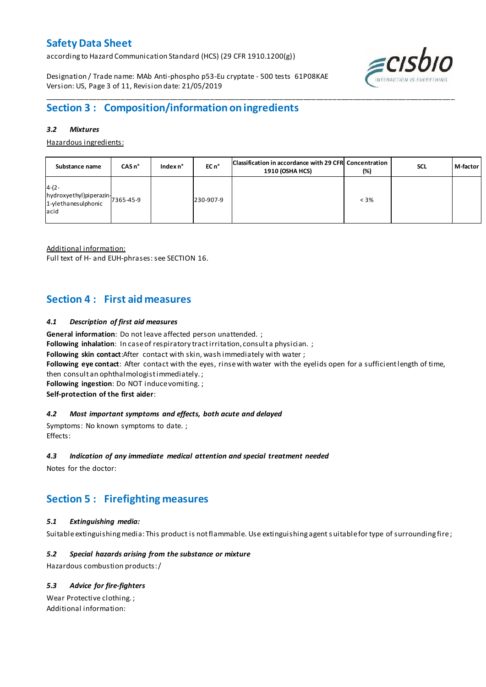according to Hazard Communication Standard (HCS) (29 CFR 1910.1200(g))

Designation / Trade name: MAb Anti-phospho p53-Eu cryptate - 500 tests 61P08KAE Version: US, Page 3 of 11, Revision date: 21/05/2019



## \_\_\_\_\_\_\_\_\_\_\_\_\_\_\_\_\_\_\_\_\_\_\_\_\_\_\_\_\_\_\_\_\_\_\_\_\_\_\_\_\_\_\_\_\_\_\_\_\_\_\_\_\_\_\_\_\_\_\_\_\_\_\_\_\_\_\_\_\_\_\_\_\_\_\_\_\_\_\_\_\_\_\_\_\_\_\_\_\_\_\_\_\_\_\_\_\_\_\_\_\_ **Section 3 : Composition/information on ingredients**

### *3.2 Mixtures*

Hazardous ingredients:

| Substance name                                                               | CASn <sup>o</sup> | Index n° | EC n <sup>o</sup> | Classification in accordance with 29 CFR Concentration<br><b>1910 (OSHA HCS)</b> | (%)     | <b>SCL</b> | M-factor |
|------------------------------------------------------------------------------|-------------------|----------|-------------------|----------------------------------------------------------------------------------|---------|------------|----------|
| $4-(2-$<br>hydroxyethyl)piperazin-<br>1-ylethanesulphonic 7365-45-9<br>lacid |                   |          | 230-907-9         |                                                                                  | $< 3\%$ |            |          |

Additional information:

Full text of H- and EUH-phrases: see SECTION 16.

## **Section 4 : First aid measures**

## *4.1 Description of first aid measures*

**General information**: Do not leave affected person unattended. ;

Following inhalation: In case of respiratory tract irritation, consult a physician. ;

**Following skin contact**:After contact with skin, wash immediately with water ;

**Following eye contact**: After contact with the eyes, rinse with water with the eyelids open for a sufficient length of time,

then consult an ophthalmologist immediately. ;

**Following ingestion**: Do NOT induce vomiting. ;

**Self-protection of the first aider**:

### *4.2 Most important symptoms and effects, both acute and delayed*

Symptoms: No known symptoms to date. ; Effects:

### *4.3 Indication of any immediate medical attention and special treatment needed*

Notes for the doctor:

# **Section 5 : Firefighting measures**

## *5.1 Extinguishing media:*

Suitable extinguishing media: This product is not flammable. Use extinguishing agent suitable for type of surrounding fire ;

## *5.2 Special hazards arising from the substance or mixture*

Hazardous combustion products:/

## *5.3 Advice for fire-fighters*

Wear Protective clothing. ; Additional information: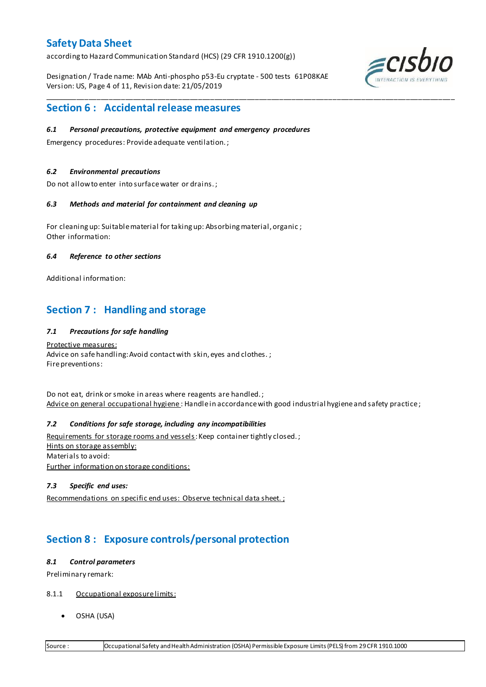according to Hazard Communication Standard (HCS) (29 CFR 1910.1200(g))

Designation / Trade name: MAb Anti-phospho p53-Eu cryptate - 500 tests 61P08KAE Version: US, Page 4 of 11, Revision date: 21/05/2019

\_\_\_\_\_\_\_\_\_\_\_\_\_\_\_\_\_\_\_\_\_\_\_\_\_\_\_\_\_\_\_\_\_\_\_\_\_\_\_\_\_\_\_\_\_\_\_\_\_\_\_\_\_\_\_\_\_\_\_\_\_\_\_\_\_\_\_\_\_\_\_\_\_\_\_\_\_\_\_\_\_\_\_\_\_\_\_\_\_\_\_\_\_\_\_\_\_\_\_\_\_



## **Section 6 : Accidental release measures**

### *6.1 Personal precautions, protective equipment and emergency procedures*

Emergency procedures: Provide adequate ventilation. ;

### *6.2 Environmental precautions*

Do not allow to enter into surface water or drains. ;

### *6.3 Methods and material for containment and cleaning up*

For cleaning up: Suitable material for taking up: Absorbing material, organic ; Other information:

### *6.4 Reference to other sections*

Additional information:

# **Section 7 : Handling and storage**

### *7.1 Precautions for safe handling*

Protective measures: Advice on safe handling: Avoid contact with skin, eyes and clothes.; Fire preventions:

Do not eat, drink or smoke in areas where reagents are handled. ; Advice on general occupational hygiene : Handle in accordance with good industrial hygiene and safety practice;

## *7.2 Conditions for safe storage, including any incompatibilities*

Requirements for storage rooms and vessels: Keep container tightly closed.; Hints on storage assembly: Materials to avoid: Further information on storage conditions:

## *7.3 Specific end uses:*

Recommendations on specific end uses: Observe technical data sheet. ;

# **Section 8 : Exposure controls/personal protection**

### *8.1 Control parameters*

Preliminary remark:

- 8.1.1 Occupational exposure limits:
	- OSHA (USA)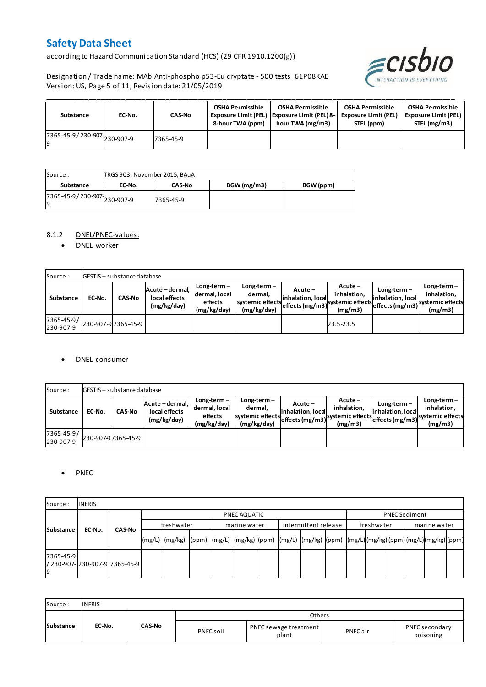according to Hazard Communication Standard (HCS) (29 CFR 1910.1200(g))

Designation / Trade name: MAb Anti-phospho p53-Eu cryptate - 500 tests 61P08KAE Version: US, Page 5 of 11, Revision date: 21/05/2019



| Substance                         | EC-No. | <b>CAS-No</b> | <b>OSHA Permissible</b><br>8-hour TWA (ppm) | <b>OSHA Permissible</b><br>Exposure Limit (PEL)   Exposure Limit (PEL) 8-<br>hour TWA (mg/m3) | <b>OSHA Permissible</b><br><b>Exposure Limit (PEL)</b><br>STEL (ppm) | <b>OSHA Permissible</b><br><b>Exposure Limit (PEL)</b><br>STEL (mg/m3) |
|-----------------------------------|--------|---------------|---------------------------------------------|-----------------------------------------------------------------------------------------------|----------------------------------------------------------------------|------------------------------------------------------------------------|
| 7365-45-9/230-907 230-907-9<br>١q |        | 7365-45-9     |                                             |                                                                                               |                                                                      |                                                                        |

| Source :                            | TRGS 903, November 2015, BAuA |               |            |           |
|-------------------------------------|-------------------------------|---------------|------------|-----------|
| Substance                           | EC-No.                        | <b>CAS-No</b> | BGW(mg/m3) | BGW (ppm) |
| 7365-45-9 / 230-907 230-907-9<br>19 |                               | 7365-45-9     |            |           |

### 8.1.2 DNEL/PNEC-values:

• DNEL worker

| Source:                 |        | <b>GESTIS</b> - substance database |                                                 |                                                          |                                                             |                              |                                                                                                            |                                    |                                         |
|-------------------------|--------|------------------------------------|-------------------------------------------------|----------------------------------------------------------|-------------------------------------------------------------|------------------------------|------------------------------------------------------------------------------------------------------------|------------------------------------|-----------------------------------------|
| Substance               | EC-No. | <b>CAS-No</b>                      | Acute - dermal,<br>local effects<br>(mg/kg/day) | $Long-term -$<br>dermal, local<br>effects<br>(mg/kg/day) | $Long-term -$<br>dermal.<br>systemic effects<br>(mg/kg/day) | Acute –<br>inhalation, local | $Acute -$<br>inhalation.<br>effects (mg/m3) <sup>systemic</sup> effects (mg/m3)systemic effects<br>(mg/m3) | $Long-term -$<br>inhalation, local | $Long-term -$<br>inhalation.<br>(mg/m3) |
| 7365-45-9/<br>230-907-9 |        | 230-907-9 7365-45-9                |                                                 |                                                          |                                                             |                              | 23.5-23.5                                                                                                  |                                    |                                         |

### DNEL consumer

| Source:                 |        | <b>GESTIS</b> - substance database |                                               |                                                          |                                                             |                              |                                                                                  |                                  |                                                                                |
|-------------------------|--------|------------------------------------|-----------------------------------------------|----------------------------------------------------------|-------------------------------------------------------------|------------------------------|----------------------------------------------------------------------------------|----------------------------------|--------------------------------------------------------------------------------|
| Substance               | EC-No. | <b>CAS-No</b>                      | Acute-dermal.<br>local effects<br>(mg/kg/day) | $Long-term -$<br>dermal, local<br>effects<br>(mg/kg/day) | $Long-term -$<br>dermal.<br>systemic effects<br>(mg/kg/day) | Acute –<br>inhalation. local | $Acute -$<br>inhalation.<br>systemic effects (mg/m3) systemic effects<br>(mg/m3) | Long-term –<br>inhalation. local | $Long-term -$<br>inhalation.<br>- weffects (mg/m3) systemic effects<br>(mg/m3) |
| 7365-45-9/<br>230-907-9 |        | 230-907-97365-45-9                 |                                               |                                                          |                                                             |                              |                                                                                  |                                  |                                                                                |

### • PNEC

| Source:         | <b>INERIS</b>                   |               |            |              |  |  |              |  |                      |  |            |                      |              |  |  |  |  |
|-----------------|---------------------------------|---------------|------------|--------------|--|--|--------------|--|----------------------|--|------------|----------------------|--------------|--|--|--|--|
|                 |                                 |               |            | PNEC AQUATIC |  |  |              |  |                      |  |            | <b>PNEC Sediment</b> |              |  |  |  |  |
|                 | Substance<br>EC-No.             | <b>CAS-No</b> | freshwater |              |  |  | marine water |  | intermittent release |  | freshwater |                      | marine water |  |  |  |  |
|                 |                                 |               | (mg/L)     |              |  |  |              |  |                      |  |            |                      |              |  |  |  |  |
| 7365-45-9<br>۱q | / 230-907-1230-907-917365-45-91 |               |            |              |  |  |              |  |                      |  |            |                      |              |  |  |  |  |

| Source:   | <b>INERIS</b> |               |           |                                |          |                             |
|-----------|---------------|---------------|-----------|--------------------------------|----------|-----------------------------|
|           |               |               |           | Others                         |          |                             |
| Substance | EC-No.        | <b>CAS-No</b> | PNEC soil | PNEC sewage treatment<br>plant | PNEC air | PNEC secondary<br>poisoning |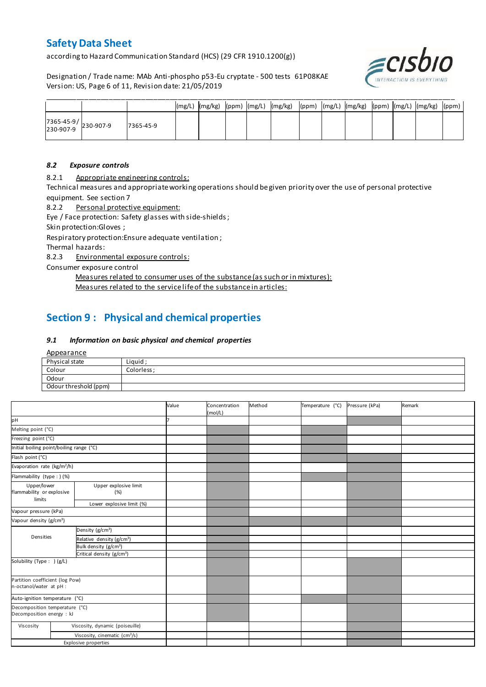according to Hazard Communication Standard (HCS) (29 CFR 1910.1200(g))

Designation / Trade name: MAb Anti-phospho p53-Eu cryptate - 500 tests 61P08KAE Version: US, Page 6 of 11, Revision date: 21/05/2019



|                                   |           |  |  | (mg/L)  (mg/kg)  (ppm)  (mg/L)  (mg/kg)  (ppm)  (mg/L)  (mg/kg)  (ppm)  (mg/L)  (mg/kg)  (ppm) |  |  |  |  |
|-----------------------------------|-----------|--|--|------------------------------------------------------------------------------------------------|--|--|--|--|
| 7365-45-9/<br>230-907-9 230-907-9 | 7365-45-9 |  |  |                                                                                                |  |  |  |  |

### *8.2 Exposure controls*

8.2.1 Appropriate engineering controls:

Technical measures and appropriate working operations should be given priority over the use of personal protective equipment. See section 7

8.2.2 Personal protective equipment:

Eye / Face protection: Safety glasses with side-shields ;

Skin protection:Gloves ;

Respiratory protection:Ensure adequate ventilation ;

Thermal hazards:

8.2.3 Environmental exposure controls:

Consumer exposure control

Measures related to consumer uses of the substance (as such or in mixtures):

Measures related to the service life of the substance in articles:

# **Section 9 : Physical and chemical properties**

### *9.1 Information on basic physical and chemical properties*

**Appearance** 

| Physical state        | Liguid      |
|-----------------------|-------------|
| Colour                | Colorless : |
| Odour                 |             |
| Odour threshold (ppm) |             |

|                                                                          |  |                                           | Value | Concentration<br>(mol/L) | Method | Temperature (°C) | Pressure (kPa) | Remark |
|--------------------------------------------------------------------------|--|-------------------------------------------|-------|--------------------------|--------|------------------|----------------|--------|
| pH                                                                       |  |                                           |       |                          |        |                  |                |        |
| Melting point (°C)                                                       |  |                                           |       |                          |        |                  |                |        |
| Freezing point (°C)                                                      |  |                                           |       |                          |        |                  |                |        |
| Initial boiling point/boiling range (°C)                                 |  |                                           |       |                          |        |                  |                |        |
| Flash point (°C)                                                         |  |                                           |       |                          |        |                  |                |        |
| Evaporation rate (kg/m <sup>2</sup> /h)                                  |  |                                           |       |                          |        |                  |                |        |
| Flammability (type : ) (%)                                               |  |                                           |       |                          |        |                  |                |        |
| Upper/lower<br>Upper explosive limit<br>flammability or explosive<br>(%) |  |                                           |       |                          |        |                  |                |        |
| limits<br>Lower explosive limit (%)                                      |  |                                           |       |                          |        |                  |                |        |
| Vapour pressure (kPa)                                                    |  |                                           |       |                          |        |                  |                |        |
| Vapour density (g/cm <sup>3</sup> )                                      |  |                                           |       |                          |        |                  |                |        |
|                                                                          |  | Density (g/cm <sup>3</sup> )              |       |                          |        |                  |                |        |
| Densities                                                                |  | Relative density (g/cm <sup>3</sup> )     |       |                          |        |                  |                |        |
|                                                                          |  | Bulk density (g/cm <sup>3</sup> )         |       |                          |        |                  |                |        |
|                                                                          |  | Critical density (g/cm <sup>3</sup> )     |       |                          |        |                  |                |        |
| Solubility (Type: ) (g/L)                                                |  |                                           |       |                          |        |                  |                |        |
| Partition coefficient (log Pow)<br>n-octanol/water at pH :               |  |                                           |       |                          |        |                  |                |        |
| Auto-ignition temperature (°C)                                           |  |                                           |       |                          |        |                  |                |        |
| Decomposition temperature (°C)<br>Decomposition energy : kJ              |  |                                           |       |                          |        |                  |                |        |
| Viscosity                                                                |  | Viscosity, dynamic (poiseuille)           |       |                          |        |                  |                |        |
|                                                                          |  | Viscosity, cinematic (cm <sup>3</sup> /s) |       |                          |        |                  |                |        |
|                                                                          |  | <b>Explosive properties</b>               |       |                          |        |                  |                |        |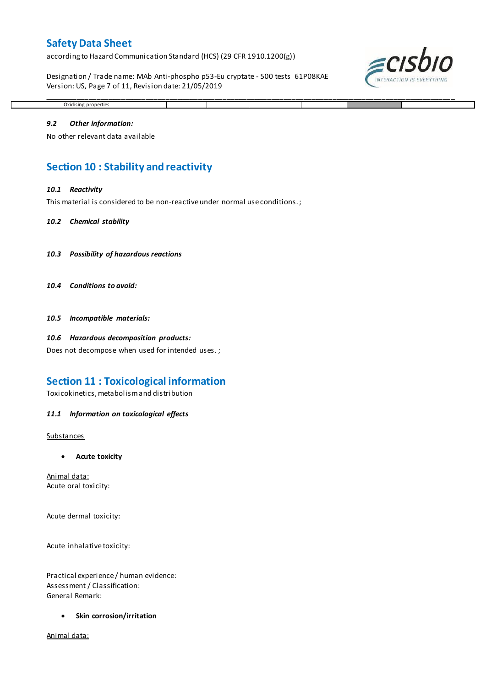according to Hazard Communication Standard (HCS) (29 CFR 1910.1200(g))

Designation / Trade name: MAb Anti-phospho p53-Eu cryptate - 500 tests 61P08KAE Version: US, Page 7 of 11, Revision date: 21/05/2019

\_\_\_\_\_\_\_\_\_\_\_\_\_\_\_\_\_\_\_\_\_\_\_\_\_\_\_\_\_\_\_\_\_\_\_\_\_\_\_\_\_\_\_\_\_\_\_\_\_\_\_\_\_\_\_\_\_\_\_\_\_\_\_\_\_\_\_\_\_\_\_\_\_\_\_\_\_\_\_\_\_\_\_\_\_\_\_\_\_\_\_\_\_\_\_\_\_\_\_\_\_



# Oxidising properties *9.2 Other information:*

No other relevant data available

# **Section 10 : Stability and reactivity**

### *10.1 Reactivity*

This material is considered to be non-reactive under normal use conditions. ;

### *10.2 Chemical stability*

- *10.3 Possibility of hazardous reactions*
- *10.4 Conditions to avoid:*

*10.5 Incompatible materials:*

### *10.6 Hazardous decomposition products:*

Does not decompose when used for intended uses. ;

## **Section 11 : Toxicological information**

Toxicokinetics, metabolism and distribution

### *11.1 Information on toxicological effects*

### **Substances**

**Acute toxicity**

Animal data: Acute oral toxicity:

Acute dermal toxicity:

Acute inhalative toxicity:

Practical experience / human evidence: Assessment / Classification: General Remark:

**•** Skin corrosion/irritation

Animal data: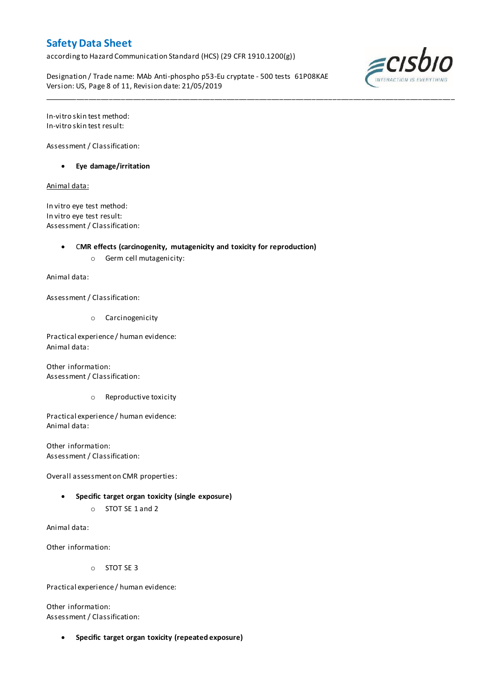according to Hazard Communication Standard (HCS) (29 CFR 1910.1200(g))

Designation / Trade name: MAb Anti-phospho p53-Eu cryptate - 500 tests 61P08KAE Version: US, Page 8 of 11, Revision date: 21/05/2019

\_\_\_\_\_\_\_\_\_\_\_\_\_\_\_\_\_\_\_\_\_\_\_\_\_\_\_\_\_\_\_\_\_\_\_\_\_\_\_\_\_\_\_\_\_\_\_\_\_\_\_\_\_\_\_\_\_\_\_\_\_\_\_\_\_\_\_\_\_\_\_\_\_\_\_\_\_\_\_\_\_\_\_\_\_\_\_\_\_\_\_\_\_\_\_\_\_\_\_\_\_



In-vitro skin test method: In-vitro skin test result:

Assessment / Classification:

**Eye damage/irritation**

Animal data:

In vitro eye test method: In vitro eye test result: Assessment / Classification:

C**MR effects (carcinogenity, mutagenicity and toxicity for reproduction)**

o Germ cell mutagenicity:

Animal data:

Assessment / Classification:

o Carcinogenicity

Practical experience / human evidence: Animal data:

Other information: Assessment / Classification:

o Reproductive toxicity

Practical experience / human evidence: Animal data:

Other information: Assessment / Classification:

Overall assessment on CMR properties:

- **Specific target organ toxicity (single exposure)**
	- o STOT SE 1 and 2

Animal data:

Other information:

o STOT SE 3

Practical experience / human evidence:

Other information: Assessment / Classification:

**Specific target organ toxicity (repeated exposure)**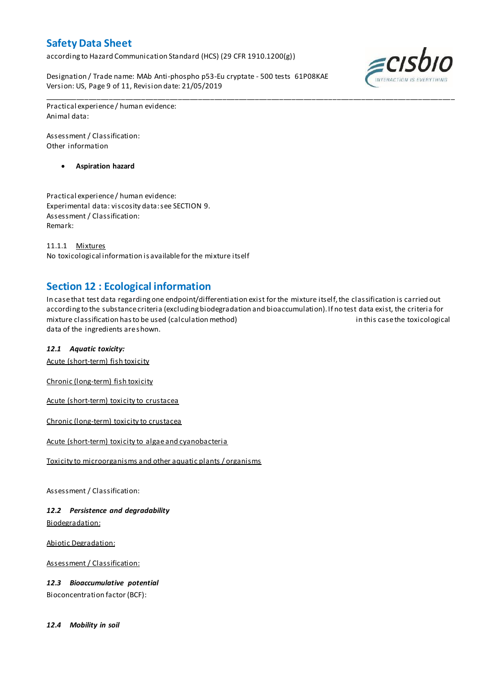according to Hazard Communication Standard (HCS) (29 CFR 1910.1200(g))

Designation / Trade name: MAb Anti-phospho p53-Eu cryptate - 500 tests 61P08KAE Version: US, Page 9 of 11, Revision date: 21/05/2019



Practical experience / human evidence: Animal data:

Assessment / Classification: Other information

**Aspiration hazard**

Practical experience / human evidence: Experimental data: viscosity data: see SECTION 9. Assessment / Classification: Remark:

11.1.1 Mixtures No toxicological information is available for the mixture itself

# **Section 12 : Ecological information**

In case that test data regarding one endpoint/differentiation exist for the mixture itself, the classification is carried out according to the substance criteria (excluding biodegradation and bioaccumulation). If no test data exist, the criteria for mixture classification has to be used (calculation method) in this case the toxicological data of the ingredients are shown.

\_\_\_\_\_\_\_\_\_\_\_\_\_\_\_\_\_\_\_\_\_\_\_\_\_\_\_\_\_\_\_\_\_\_\_\_\_\_\_\_\_\_\_\_\_\_\_\_\_\_\_\_\_\_\_\_\_\_\_\_\_\_\_\_\_\_\_\_\_\_\_\_\_\_\_\_\_\_\_\_\_\_\_\_\_\_\_\_\_\_\_\_\_\_\_\_\_\_\_\_\_

## *12.1 Aquatic toxicity:*

Acute (short-term) fish toxicity

Chronic (long-term) fish toxicity

Acute (short-term) toxicity to crustacea

Chronic (long-term) toxicity to crustacea

Acute (short-term) toxicity to algae and cyanobacteria

Toxicity to microorganisms and other aquatic plants / organisms

Assessment / Classification:

*12.2 Persistence and degradability* Biodegradation:

Abiotic Degradation:

Assessment / Classification:

*12.3 Bioaccumulative potential*

Bioconcentration factor (BCF):

*12.4 Mobility in soil*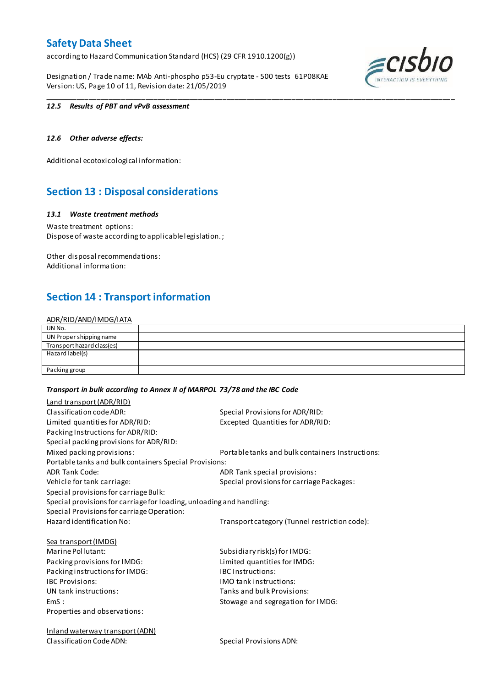according to Hazard Communication Standard (HCS) (29 CFR 1910.1200(g))

Designation / Trade name: MAb Anti-phospho p53-Eu cryptate - 500 tests 61P08KAE Version: US, Page 10 of 11, Revision date: 21/05/2019



### *12.5 Results of PBT and vPvB assessment*

## *12.6 Other adverse effects:*

Additional ecotoxicological information:

# **Section 13 : Disposal considerations**

### *13.1 Waste treatment methods*

Waste treatment options: Dispose of waste according to applicable legislation. ;

Other disposal recommendations: Additional information:

## **Section 14 : Transport information**

### ADR/RID/AND/IMDG/IATA

| UN No.                     |  |
|----------------------------|--|
| UN Proper shipping name    |  |
| Transport hazard class(es) |  |
| Hazard label(s)            |  |
|                            |  |
| Packing group              |  |

\_\_\_\_\_\_\_\_\_\_\_\_\_\_\_\_\_\_\_\_\_\_\_\_\_\_\_\_\_\_\_\_\_\_\_\_\_\_\_\_\_\_\_\_\_\_\_\_\_\_\_\_\_\_\_\_\_\_\_\_\_\_\_\_\_\_\_\_\_\_\_\_\_\_\_\_\_\_\_\_\_\_\_\_\_\_\_\_\_\_\_\_\_\_\_\_\_\_\_\_\_

### *Transport in bulk according to Annex II of MARPOL 73/78 and the IBC Code*

| Land transport (ADR/RID)                                             |                                                  |
|----------------------------------------------------------------------|--------------------------------------------------|
| Classification code ADR:                                             | Special Provisions for ADR/RID:                  |
| Limited quantities for ADR/RID:                                      | Excepted Quantities for ADR/RID:                 |
| Packing Instructions for ADR/RID:                                    |                                                  |
| Special packing provisions for ADR/RID:                              |                                                  |
| Mixed packing provisions:                                            | Portable tanks and bulk containers Instructions: |
| Portable tanks and bulk containers Special Provisions:               |                                                  |
| <b>ADR Tank Code:</b>                                                | ADR Tank special provisions:                     |
| Vehicle for tank carriage:                                           | Special provisions for carriage Packages:        |
| Special provisions for carriage Bulk:                                |                                                  |
| Special provisions for carriage for loading, unloading and handling: |                                                  |
| Special Provisions for carriage Operation:                           |                                                  |
| Hazard identification No:                                            | Transport category (Tunnel restriction code):    |
| <b>Sea transport (IMDG)</b>                                          |                                                  |
| Marine Pollutant:                                                    | Subsidiary risk(s) for IMDG:                     |
| Packing provisions for IMDG:                                         | Limited quantities for IMDG:                     |
| Packing instructions for IMDG:                                       | <b>IBC Instructions:</b>                         |
| <b>IBC Provisions:</b>                                               | <b>IMO</b> tank instructions:                    |
| UN tank instructions:                                                | Tanks and bulk Provisions:                       |
| EmS:                                                                 | Stowage and segregation for IMDG:                |
| Properties and observations:                                         |                                                  |
| <b>Inland waterway transport (ADN)</b>                               |                                                  |
| Classification Code ADN:                                             | Special Provisions ADN:                          |